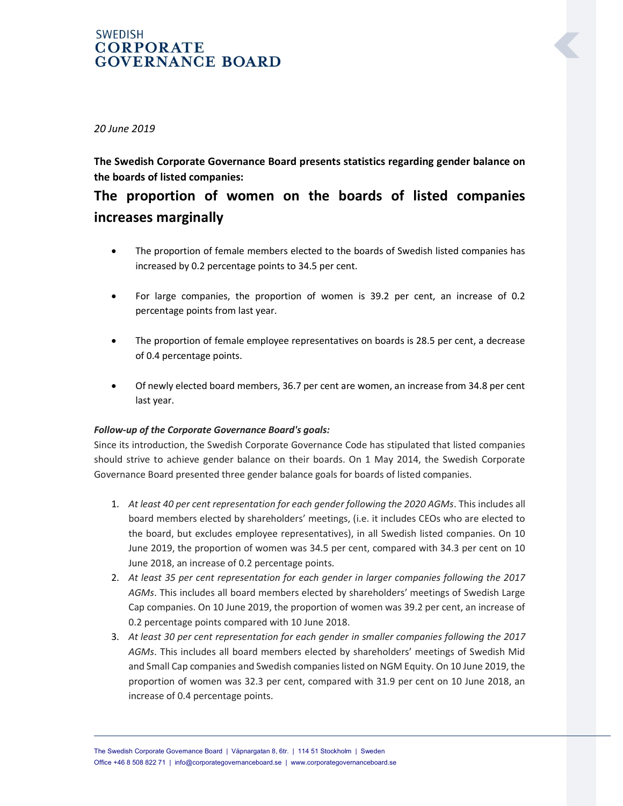### **SWEDISH CORPORATE GOVERNANCE BOARD**

20 June 2019

## The Swedish Corporate Governance Board presents statistics regarding gender balance on the boards of listed companies:

# The proportion of women on the boards of listed companies increases marginally

- The proportion of female members elected to the boards of Swedish listed companies has increased by 0.2 percentage points to 34.5 per cent.
- For large companies, the proportion of women is 39.2 per cent, an increase of 0.2 percentage points from last year.
- The proportion of female employee representatives on boards is 28.5 per cent, a decrease of 0.4 percentage points.
- Of newly elected board members, 36.7 per cent are women, an increase from 34.8 per cent last year.

### Follow-up of the Corporate Governance Board's goals:

Since its introduction, the Swedish Corporate Governance Code has stipulated that listed companies should strive to achieve gender balance on their boards. On 1 May 2014, the Swedish Corporate Governance Board presented three gender balance goals for boards of listed companies.

- 1. At least 40 per cent representation for each gender following the 2020 AGMs. This includes all board members elected by shareholders' meetings, (i.e. it includes CEOs who are elected to the board, but excludes employee representatives), in all Swedish listed companies. On 10 June 2019, the proportion of women was 34.5 per cent, compared with 34.3 per cent on 10 June 2018, an increase of 0.2 percentage points.
- 2. At least 35 per cent representation for each gender in larger companies following the 2017 AGMs. This includes all board members elected by shareholders' meetings of Swedish Large Cap companies. On 10 June 2019, the proportion of women was 39.2 per cent, an increase of 0.2 percentage points compared with 10 June 2018.
- 3. At least 30 per cent representation for each gender in smaller companies following the 2017 AGMs. This includes all board members elected by shareholders' meetings of Swedish Mid and Small Cap companies and Swedish companies listed on NGM Equity. On 10 June 2019, the proportion of women was 32.3 per cent, compared with 31.9 per cent on 10 June 2018, an increase of 0.4 percentage points.